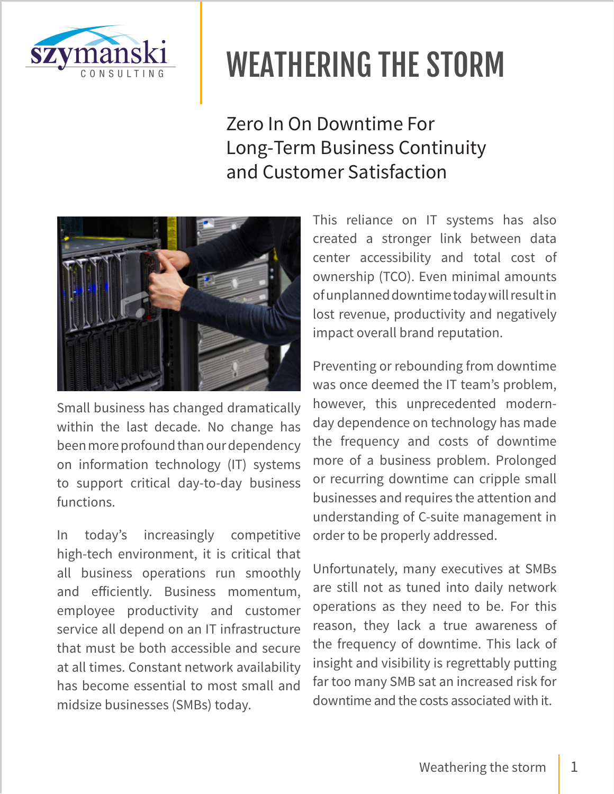

Zero In On Downtime For Long-Term Business Continuity and Customer Satisfaction



Small business has changed dramatically within the last decade. No change has been more profound than our dependency on information technology (IT) systems to support critical day-to-day business functions.

In today's increasingly competitive high-tech environment, it is critical that all business operations run smoothly and efficiently. Business momentum, employee productivity and customer service all depend on an IT infrastructure that must be both accessible and secure at all times. Constant network availability has become essential to most small and midsize businesses (SMBs) today.

This reliance on IT systems has also created a stronger link between data center accessibility and total cost of ownership (TCO). Even minimal amounts of unplanned downtime today will result in lost revenue, productivity and negatively impact overall brand reputation.

Preventing or rebounding from downtime was once deemed the IT team's problem, however, this unprecedented modernday dependence on technology has made the frequency and costs of downtime more of a business problem. Prolonged or recurring downtime can cripple small businesses and requires the attention and understanding of C-suite management in order to be properly addressed.

Unfortunately, many executives at SMBs are still not as tuned into daily network operations as they need to be. For this reason, they lack a true awareness of the frequency of downtime. This lack of insight and visibility is regrettably putting far too many SMB sat an increased risk for downtime and the costs associated with it.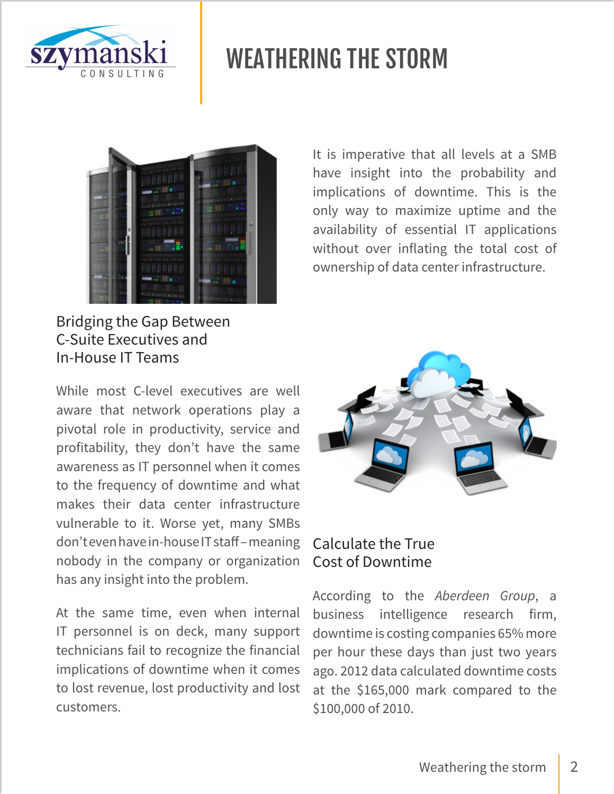



### Bridging the Gap Between C-Suite Executives and In-House IT Teams

While most C-level executives are well aware that network operations play a pivotal role in productivity, service and profitability, they don't have the same awareness as IT personnel when it comes to the frequency of downtime and what makes their data center infrastructure vulnerable to it. Worse yet, many SMBs don't even have in-house IT staff – meaning nobody in the company or organization has any insight into the problem.

At the same time, even when internal IT personnel is on deck, many support technicians fail to recognize the financial implications of downtime when it comes to lost revenue, lost productivity and lost customers.

It is imperative that all levels at a SMB have insight into the probability and implications of downtime. This is the only way to maximize uptime and the availability of essential IT applications without over inflating the total cost of ownership of data center infrastructure.



### Calculate the True Cost of Downtime

According to the *Aberdeen Group*, a business intelligence research firm, downtime is costing companies 65% more per hour these days than just two years ago. 2012 data calculated downtime costs at the \$165,000 mark compared to the \$100,000 of 2010.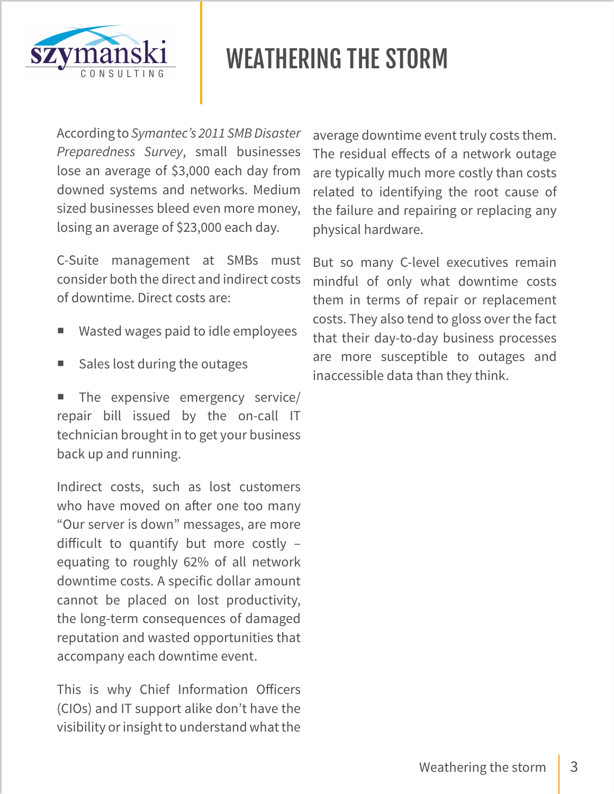

According to *Symantec's 2011 SMB Disaster Preparedness Survey*, small businesses lose an average of \$3,000 each day from downed systems and networks. Medium sized businesses bleed even more money, losing an average of \$23,000 each day.

C-Suite management at SMBs must consider both the direct and indirect costs of downtime. Direct costs are:

- Wasted wages paid to idle employees
- Sales lost during the outages

 The expensive emergency service/ repair bill issued by the on-call IT technician brought in to get your business back up and running.

Indirect costs, such as lost customers who have moved on after one too many "Our server is down" messages, are more difficult to quantify but more costly – equating to roughly 62% of all network downtime costs. A specific dollar amount cannot be placed on lost productivity, the long-term consequences of damaged reputation and wasted opportunities that accompany each downtime event.

This is why Chief Information Officers (CIOs) and IT support alike don't have the visibility or insight to understand what the average downtime event truly costs them. The residual effects of a network outage are typically much more costly than costs related to identifying the root cause of the failure and repairing or replacing any physical hardware.

But so many C-level executives remain mindful of only what downtime costs them in terms of repair or replacement costs. They also tend to gloss over the fact that their day-to-day business processes are more susceptible to outages and inaccessible data than they think.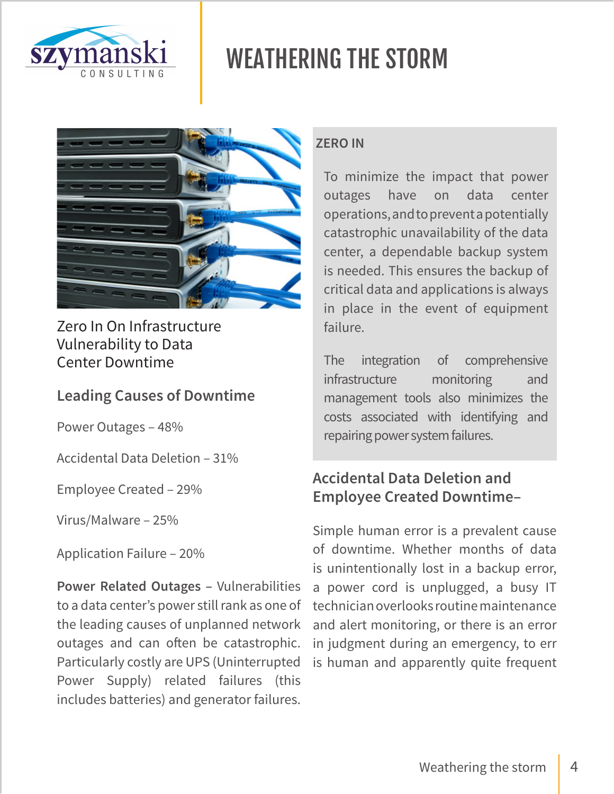



Zero In On Infrastructure Vulnerability to Data Center Downtime

### **Leading Causes of Downtime**

Power Outages – 48%

Accidental Data Deletion – 31%

Employee Created – 29%

Virus/Malware – 25%

Application Failure – 20%

**Power Related Outages –** Vulnerabilities to a data center's power still rank as one of the leading causes of unplanned network outages and can often be catastrophic. Particularly costly are UPS (Uninterrupted Power Supply) related failures (this includes batteries) and generator failures.

#### **ZERO IN**

To minimize the impact that power outages have on data center operations, and to prevent a potentially catastrophic unavailability of the data center, a dependable backup system is needed. This ensures the backup of critical data and applications is always in place in the event of equipment failure.

The integration of comprehensive infrastructure monitoring and management tools also minimizes the costs associated with identifying and repairing power system failures.

### **Accidental Data Deletion and Employee Created Downtime–**

Simple human error is a prevalent cause of downtime. Whether months of data is unintentionally lost in a backup error, a power cord is unplugged, a busy IT technician overlooks routine maintenance and alert monitoring, or there is an error in judgment during an emergency, to err is human and apparently quite frequent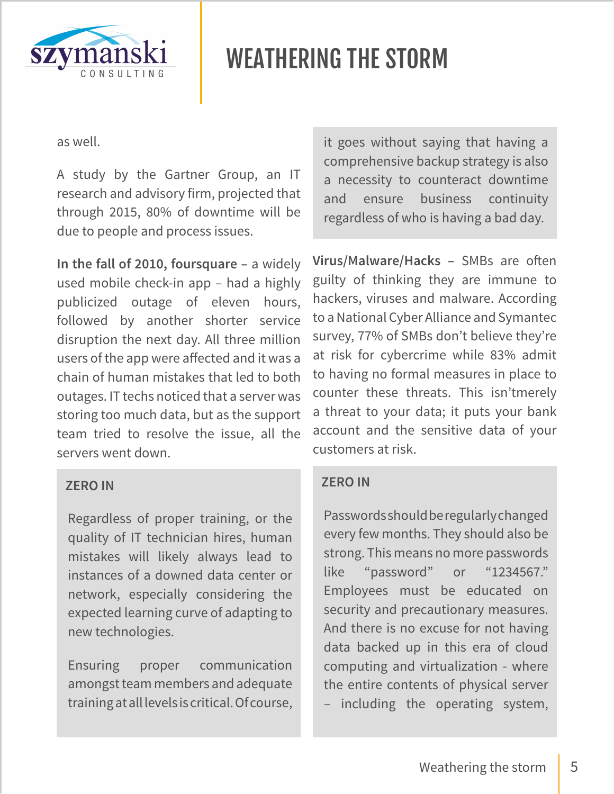

as well.

A study by the Gartner Group, an IT research and advisory firm, projected that through 2015, 80% of downtime will be due to people and process issues.

**In the fall of 2010, foursquare –** a widely used mobile check-in app – had a highly publicized outage of eleven hours, followed by another shorter service disruption the next day. All three million users of the app were affected and it was a chain of human mistakes that led to both outages. IT techs noticed that a server was storing too much data, but as the support team tried to resolve the issue, all the servers went down.

#### **ZERO IN**

Regardless of proper training, or the quality of IT technician hires, human mistakes will likely always lead to instances of a downed data center or network, especially considering the expected learning curve of adapting to new technologies.

Ensuring proper communication amongst team members and adequate training at all levels is critical. Of course, it goes without saying that having a comprehensive backup strategy is also a necessity to counteract downtime and ensure business continuity regardless of who is having a bad day.

**Virus/Malware/Hacks –** SMBs are often guilty of thinking they are immune to hackers, viruses and malware. According to a National Cyber Alliance and Symantec survey, 77% of SMBs don't believe they're at risk for cybercrime while 83% admit to having no formal measures in place to counter these threats. This isn'tmerely a threat to your data; it puts your bank account and the sensitive data of your customers at risk.

#### **ZERO IN**

Passwords should be regularly changed every few months. They should also be strong. This means no more passwords like "password" or "1234567." Employees must be educated on security and precautionary measures. And there is no excuse for not having data backed up in this era of cloud computing and virtualization - where the entire contents of physical server – including the operating system,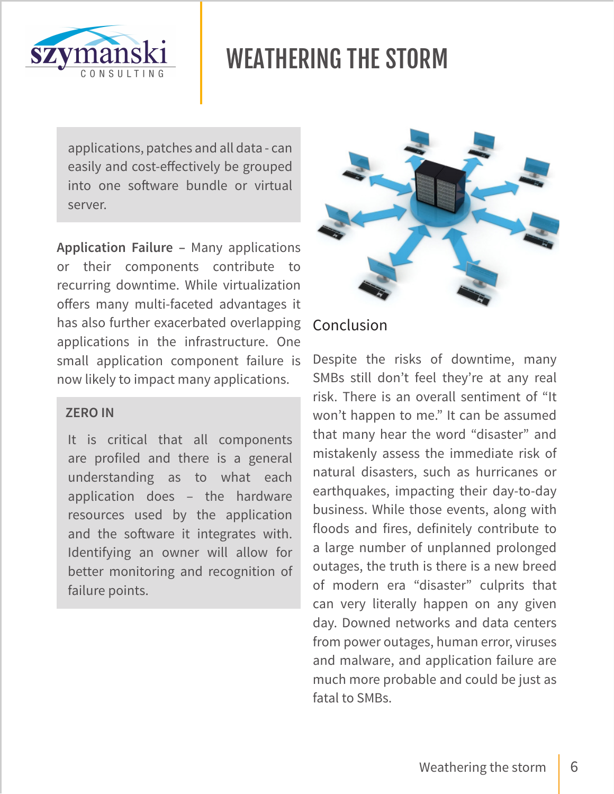

applications, patches and all data - can easily and cost-effectively be grouped into one software bundle or virtual server.

**Application Failure –** Many applications or their components contribute to recurring downtime. While virtualization offers many multi-faceted advantages it has also further exacerbated overlapping applications in the infrastructure. One small application component failure is now likely to impact many applications.

#### **ZERO IN**

It is critical that all components are profiled and there is a general understanding as to what each application does – the hardware resources used by the application and the software it integrates with. Identifying an owner will allow for better monitoring and recognition of failure points.



### Conclusion

Despite the risks of downtime, many SMBs still don't feel they're at any real risk. There is an overall sentiment of "It won't happen to me." It can be assumed that many hear the word "disaster" and mistakenly assess the immediate risk of natural disasters, such as hurricanes or earthquakes, impacting their day-to-day business. While those events, along with floods and fires, definitely contribute to a large number of unplanned prolonged outages, the truth is there is a new breed of modern era "disaster" culprits that can very literally happen on any given day. Downed networks and data centers from power outages, human error, viruses and malware, and application failure are much more probable and could be just as fatal to SMBs.